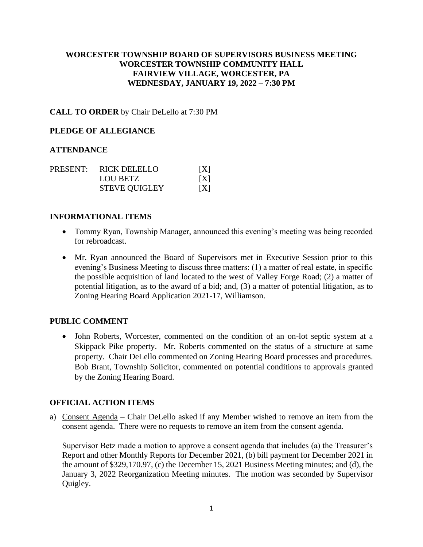## **WORCESTER TOWNSHIP BOARD OF SUPERVISORS BUSINESS MEETING WORCESTER TOWNSHIP COMMUNITY HALL FAIRVIEW VILLAGE, WORCESTER, PA WEDNESDAY, JANUARY 19, 2022 – 7:30 PM**

## **CALL TO ORDER** by Chair DeLello at 7:30 PM

### **PLEDGE OF ALLEGIANCE**

### **ATTENDANCE**

|  | PRESENT: RICK DELELLO | [X] |
|--|-----------------------|-----|
|  | <b>LOU BETZ</b>       | X   |
|  | <b>STEVE QUIGLEY</b>  | [X] |

#### **INFORMATIONAL ITEMS**

- Tommy Ryan, Township Manager, announced this evening's meeting was being recorded for rebroadcast.
- Mr. Ryan announced the Board of Supervisors met in Executive Session prior to this evening's Business Meeting to discuss three matters: (1) a matter of real estate, in specific the possible acquisition of land located to the west of Valley Forge Road; (2) a matter of potential litigation, as to the award of a bid; and, (3) a matter of potential litigation, as to Zoning Hearing Board Application 2021-17, Williamson.

### **PUBLIC COMMENT**

• John Roberts, Worcester, commented on the condition of an on-lot septic system at a Skippack Pike property. Mr. Roberts commented on the status of a structure at same property. Chair DeLello commented on Zoning Hearing Board processes and procedures. Bob Brant, Township Solicitor, commented on potential conditions to approvals granted by the Zoning Hearing Board.

### **OFFICIAL ACTION ITEMS**

a) Consent Agenda – Chair DeLello asked if any Member wished to remove an item from the consent agenda. There were no requests to remove an item from the consent agenda.

Supervisor Betz made a motion to approve a consent agenda that includes (a) the Treasurer's Report and other Monthly Reports for December 2021, (b) bill payment for December 2021 in the amount of \$329,170.97, (c) the December 15, 2021 Business Meeting minutes; and (d), the January 3, 2022 Reorganization Meeting minutes. The motion was seconded by Supervisor Quigley.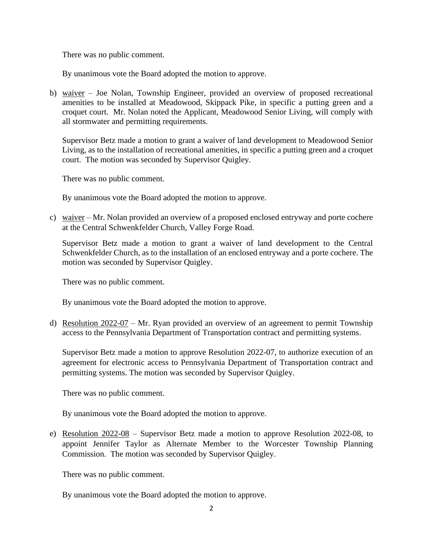There was no public comment.

By unanimous vote the Board adopted the motion to approve.

b) waiver – Joe Nolan, Township Engineer, provided an overview of proposed recreational amenities to be installed at Meadowood, Skippack Pike, in specific a putting green and a croquet court. Mr. Nolan noted the Applicant, Meadowood Senior Living, will comply with all stormwater and permitting requirements.

Supervisor Betz made a motion to grant a waiver of land development to Meadowood Senior Living, as to the installation of recreational amenities, in specific a putting green and a croquet court. The motion was seconded by Supervisor Quigley.

There was no public comment.

By unanimous vote the Board adopted the motion to approve.

c) waiver – Mr. Nolan provided an overview of a proposed enclosed entryway and porte cochere at the Central Schwenkfelder Church, Valley Forge Road.

Supervisor Betz made a motion to grant a waiver of land development to the Central Schwenkfelder Church, as to the installation of an enclosed entryway and a porte cochere. The motion was seconded by Supervisor Quigley.

There was no public comment.

By unanimous vote the Board adopted the motion to approve.

d) Resolution 2022-07 – Mr. Ryan provided an overview of an agreement to permit Township access to the Pennsylvania Department of Transportation contract and permitting systems.

Supervisor Betz made a motion to approve Resolution 2022-07, to authorize execution of an agreement for electronic access to Pennsylvania Department of Transportation contract and permitting systems. The motion was seconded by Supervisor Quigley.

There was no public comment.

By unanimous vote the Board adopted the motion to approve.

e) Resolution 2022-08 – Supervisor Betz made a motion to approve Resolution 2022-08, to appoint Jennifer Taylor as Alternate Member to the Worcester Township Planning Commission. The motion was seconded by Supervisor Quigley.

There was no public comment.

By unanimous vote the Board adopted the motion to approve.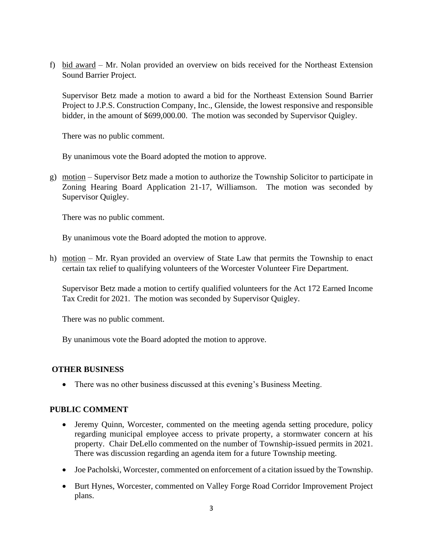f) bid award – Mr. Nolan provided an overview on bids received for the Northeast Extension Sound Barrier Project.

Supervisor Betz made a motion to award a bid for the Northeast Extension Sound Barrier Project to J.P.S. Construction Company, Inc., Glenside, the lowest responsive and responsible bidder, in the amount of \$699,000.00. The motion was seconded by Supervisor Quigley.

There was no public comment.

By unanimous vote the Board adopted the motion to approve.

g) motion – Supervisor Betz made a motion to authorize the Township Solicitor to participate in Zoning Hearing Board Application 21-17, Williamson. The motion was seconded by Supervisor Quigley.

There was no public comment.

By unanimous vote the Board adopted the motion to approve.

h) motion – Mr. Ryan provided an overview of State Law that permits the Township to enact certain tax relief to qualifying volunteers of the Worcester Volunteer Fire Department.

Supervisor Betz made a motion to certify qualified volunteers for the Act 172 Earned Income Tax Credit for 2021. The motion was seconded by Supervisor Quigley.

There was no public comment.

By unanimous vote the Board adopted the motion to approve.

## **OTHER BUSINESS**

• There was no other business discussed at this evening's Business Meeting.

## **PUBLIC COMMENT**

- Jeremy Quinn, Worcester, commented on the meeting agenda setting procedure, policy regarding municipal employee access to private property, a stormwater concern at his property. Chair DeLello commented on the number of Township-issued permits in 2021. There was discussion regarding an agenda item for a future Township meeting.
- Joe Pacholski, Worcester, commented on enforcement of a citation issued by the Township.
- Burt Hynes, Worcester, commented on Valley Forge Road Corridor Improvement Project plans.